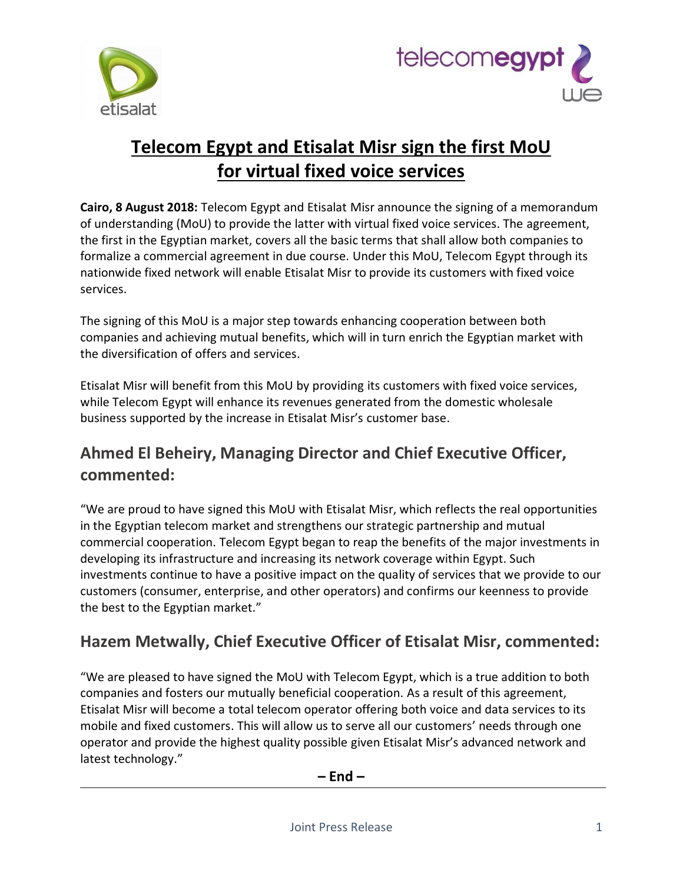



# **Telecom Egypt and Etisalat Misr sign the first MoU for virtual fixed voice services**

**Cairo, 8 August 2018:** Telecom Egypt and Etisalat Misr announce the signing of a memorandum of understanding (MoU) to provide the latter with virtual fixed voice services. The agreement, the first in the Egyptian market, covers all the basic terms that shall allow both companies to formalize a commercial agreement in due course. Under this MoU, Telecom Egypt through its nationwide fixed network will enable Etisalat Misr to provide its customers with fixed voice services.

The signing of this MoU is a major step towards enhancing cooperation between both companies and achieving mutual benefits, which will in turn enrich the Egyptian market with the diversification of offers and services.

Etisalat Misr will benefit from this MoU by providing its customers with fixed voice services, while Telecom Egypt will enhance its revenues generated from the domestic wholesale business supported by the increase in Etisalat Misr's customer base.

## **Ahmed El Beheiry, Managing Director and Chief Executive Officer, commented:**

"We are proud to have signed this MoU with Etisalat Misr, which reflects the real opportunities in the Egyptian telecom market and strengthens our strategic partnership and mutual commercial cooperation. Telecom Egypt began to reap the benefits of the major investments in developing its infrastructure and increasing its network coverage within Egypt. Such investments continue to have a positive impact on the quality of services that we provide to our customers (consumer, enterprise, and other operators) and confirms our keenness to provide the best to the Egyptian market."

## **Hazem Metwally, Chief Executive Officer of Etisalat Misr, commented:**

"We are pleased to have signed the MoU with Telecom Egypt, which is a true addition to both companies and fosters our mutually beneficial cooperation. As a result of this agreement, Etisalat Misr will become a total telecom operator offering both voice and data services to its mobile and fixed customers. This will allow us to serve all our customers' needs through one operator and provide the highest quality possible given Etisalat Misr's advanced network and latest technology."

**– End –**